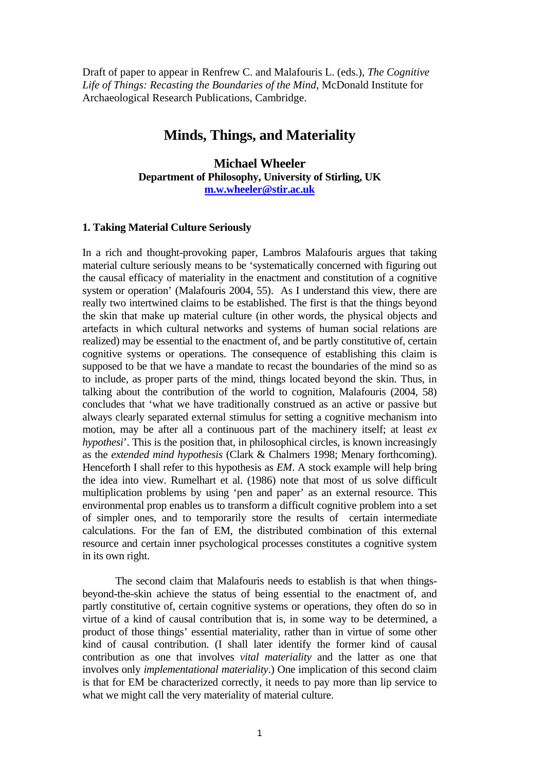Draft of paper to appear in Renfrew C. and Malafouris L. (eds.), *The Cognitive Life of Things: Recasting the Boundaries of the Mind*, McDonald Institute for Archaeological Research Publications, Cambridge.

# **Minds, Things, and Materiality**

**Michael Wheeler Department of Philosophy, University of Stirling, UK [m.w.wheeler@stir.ac.uk](mailto:m.w.wheeler@stir.ac.uk)**

## **1. Taking Material Culture Seriously**

In a rich and thought-provoking paper, Lambros Malafouris argues that taking material culture seriously means to be 'systematically concerned with figuring out the causal efficacy of materiality in the enactment and constitution of a cognitive system or operation' (Malafouris 2004, 55). As I understand this view, there are really two intertwined claims to be established. The first is that the things beyond the skin that make up material culture (in other words, the physical objects and artefacts in which cultural networks and systems of human social relations are realized) may be essential to the enactment of, and be partly constitutive of, certain cognitive systems or operations. The consequence of establishing this claim is supposed to be that we have a mandate to recast the boundaries of the mind so as to include, as proper parts of the mind, things located beyond the skin. Thus, in talking about the contribution of the world to cognition, Malafouris (2004, 58) concludes that 'what we have traditionally construed as an active or passive but always clearly separated external stimulus for setting a cognitive mechanism into motion, may be after all a continuous part of the machinery itself; at least *ex hypothesi*'. This is the position that, in philosophical circles, is known increasingly as the *extended mind hypothesis* (Clark & Chalmers 1998; Menary forthcoming). Henceforth I shall refer to this hypothesis as *EM*. A stock example will help bring the idea into view. Rumelhart et al. (1986) note that most of us solve difficult multiplication problems by using 'pen and paper' as an external resource. This environmental prop enables us to transform a difficult cognitive problem into a set of simpler ones, and to temporarily store the results of certain intermediate calculations. For the fan of EM, the distributed combination of this external resource and certain inner psychological processes constitutes a cognitive system in its own right.

The second claim that Malafouris needs to establish is that when thingsbeyond-the-skin achieve the status of being essential to the enactment of, and partly constitutive of, certain cognitive systems or operations, they often do so in virtue of a kind of causal contribution that is, in some way to be determined, a product of those things' essential materiality, rather than in virtue of some other kind of causal contribution. (I shall later identify the former kind of causal contribution as one that involves *vital materiality* and the latter as one that involves only *implementational materiality*.) One implication of this second claim is that for EM be characterized correctly, it needs to pay more than lip service to what we might call the very materiality of material culture.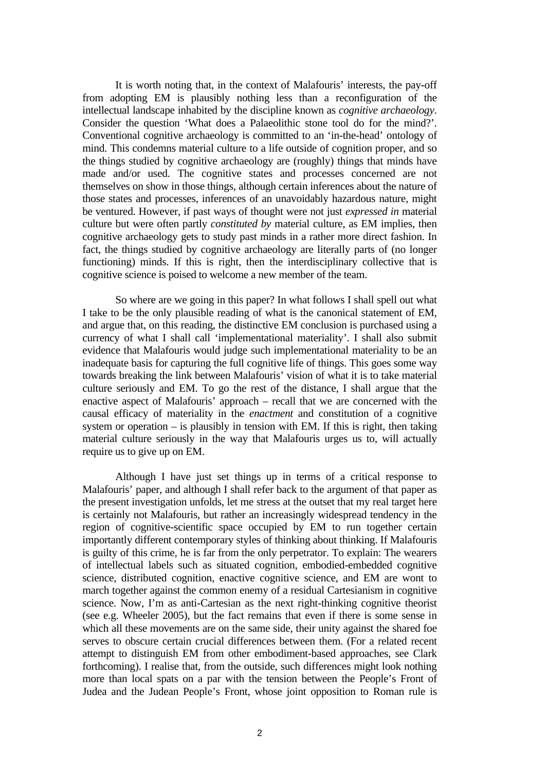It is worth noting that, in the context of Malafouris' interests, the pay-off from adopting EM is plausibly nothing less than a reconfiguration of the intellectual landscape inhabited by the discipline known as *cognitive archaeology*. Consider the question 'What does a Palaeolithic stone tool do for the mind?'. Conventional cognitive archaeology is committed to an 'in-the-head' ontology of mind. This condemns material culture to a life outside of cognition proper, and so the things studied by cognitive archaeology are (roughly) things that minds have made and/or used. The cognitive states and processes concerned are not themselves on show in those things, although certain inferences about the nature of those states and processes, inferences of an unavoidably hazardous nature, might be ventured. However, if past ways of thought were not just *expressed in* material culture but were often partly *constituted by* material culture, as EM implies, then cognitive archaeology gets to study past minds in a rather more direct fashion. In fact, the things studied by cognitive archaeology are literally parts of (no longer functioning) minds. If this is right, then the interdisciplinary collective that is cognitive science is poised to welcome a new member of the team.

So where are we going in this paper? In what follows I shall spell out what I take to be the only plausible reading of what is the canonical statement of EM, and argue that, on this reading, the distinctive EM conclusion is purchased using a currency of what I shall call 'implementational materiality'. I shall also submit evidence that Malafouris would judge such implementational materiality to be an inadequate basis for capturing the full cognitive life of things. This goes some way towards breaking the link between Malafouris' vision of what it is to take material culture seriously and EM. To go the rest of the distance, I shall argue that the enactive aspect of Malafouris' approach – recall that we are concerned with the causal efficacy of materiality in the *enactment* and constitution of a cognitive system or operation – is plausibly in tension with EM. If this is right, then taking material culture seriously in the way that Malafouris urges us to, will actually require us to give up on EM.

Although I have just set things up in terms of a critical response to Malafouris' paper, and although I shall refer back to the argument of that paper as the present investigation unfolds, let me stress at the outset that my real target here is certainly not Malafouris, but rather an increasingly widespread tendency in the region of cognitive-scientific space occupied by EM to run together certain importantly different contemporary styles of thinking about thinking. If Malafouris is guilty of this crime, he is far from the only perpetrator. To explain: The wearers of intellectual labels such as situated cognition, embodied-embedded cognitive science, distributed cognition, enactive cognitive science, and EM are wont to march together against the common enemy of a residual Cartesianism in cognitive science. Now, I'm as anti-Cartesian as the next right-thinking cognitive theorist (see e.g. Wheeler 2005), but the fact remains that even if there is some sense in which all these movements are on the same side, their unity against the shared foe serves to obscure certain crucial differences between them. (For a related recent attempt to distinguish EM from other embodiment-based approaches, see Clark forthcoming). I realise that, from the outside, such differences might look nothing more than local spats on a par with the tension between the People's Front of Judea and the Judean People's Front, whose joint opposition to Roman rule is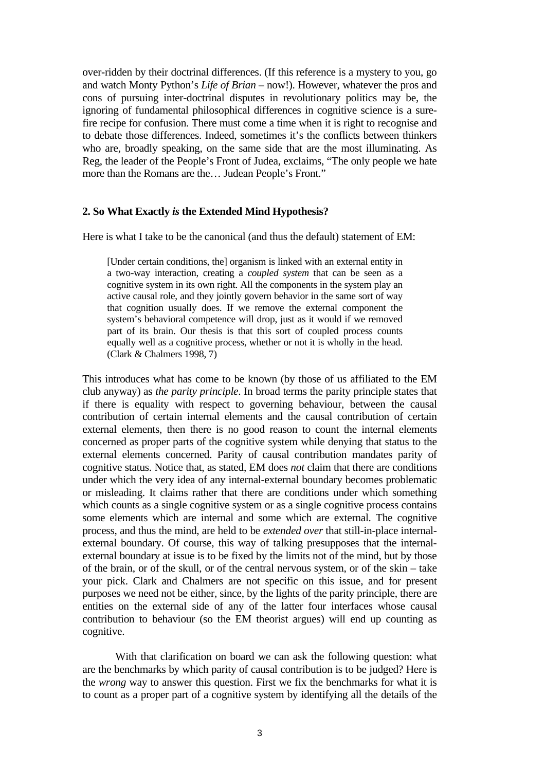over-ridden by their doctrinal differences. (If this reference is a mystery to you, go and watch Monty Python's *Life of Brian* – now!). However, whatever the pros and cons of pursuing inter-doctrinal disputes in revolutionary politics may be, the ignoring of fundamental philosophical differences in cognitive science is a surefire recipe for confusion. There must come a time when it is right to recognise and to debate those differences. Indeed, sometimes it's the conflicts between thinkers who are, broadly speaking, on the same side that are the most illuminating. As Reg, the leader of the People's Front of Judea, exclaims, "The only people we hate more than the Romans are the… Judean People's Front."

### **2. So What Exactly** *is* **the Extended Mind Hypothesis?**

Here is what I take to be the canonical (and thus the default) statement of EM:

[Under certain conditions, the] organism is linked with an external entity in a two-way interaction, creating a *coupled system* that can be seen as a cognitive system in its own right. All the components in the system play an active causal role, and they jointly govern behavior in the same sort of way that cognition usually does. If we remove the external component the system's behavioral competence will drop, just as it would if we removed part of its brain. Our thesis is that this sort of coupled process counts equally well as a cognitive process, whether or not it is wholly in the head. (Clark & Chalmers 1998, 7)

This introduces what has come to be known (by those of us affiliated to the EM club anyway) as *the parity principle*. In broad terms the parity principle states that if there is equality with respect to governing behaviour, between the causal contribution of certain internal elements and the causal contribution of certain external elements, then there is no good reason to count the internal elements concerned as proper parts of the cognitive system while denying that status to the external elements concerned. Parity of causal contribution mandates parity of cognitive status. Notice that, as stated, EM does *not* claim that there are conditions under which the very idea of any internal-external boundary becomes problematic or misleading. It claims rather that there are conditions under which something which counts as a single cognitive system or as a single cognitive process contains some elements which are internal and some which are external. The cognitive process, and thus the mind, are held to be *extended over* that still-in-place internalexternal boundary. Of course, this way of talking presupposes that the internalexternal boundary at issue is to be fixed by the limits not of the mind, but by those of the brain, or of the skull, or of the central nervous system, or of the skin – take your pick. Clark and Chalmers are not specific on this issue, and for present purposes we need not be either, since, by the lights of the parity principle, there are entities on the external side of any of the latter four interfaces whose causal contribution to behaviour (so the EM theorist argues) will end up counting as cognitive.

With that clarification on board we can ask the following question: what are the benchmarks by which parity of causal contribution is to be judged? Here is the *wrong* way to answer this question. First we fix the benchmarks for what it is to count as a proper part of a cognitive system by identifying all the details of the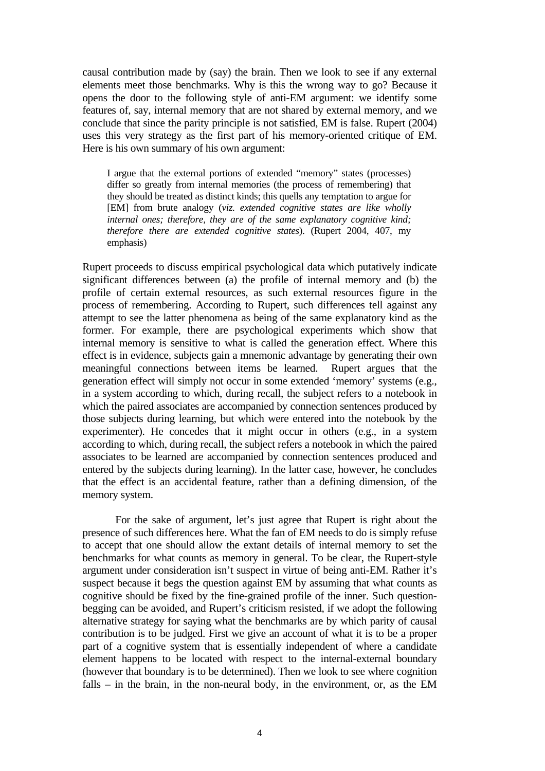causal contribution made by (say) the brain. Then we look to see if any external elements meet those benchmarks. Why is this the wrong way to go? Because it opens the door to the following style of anti-EM argument: we identify some features of, say, internal memory that are not shared by external memory, and we conclude that since the parity principle is not satisfied, EM is false. Rupert (2004) uses this very strategy as the first part of his memory-oriented critique of EM. Here is his own summary of his own argument:

I argue that the external portions of extended "memory" states (processes) differ so greatly from internal memories (the process of remembering) that they should be treated as distinct kinds; this quells any temptation to argue for [EM] from brute analogy (*viz. extended cognitive states are like wholly internal ones; therefore, they are of the same explanatory cognitive kind; therefore there are extended cognitive states*). (Rupert 2004, 407, my emphasis)

Rupert proceeds to discuss empirical psychological data which putatively indicate significant differences between (a) the profile of internal memory and (b) the profile of certain external resources, as such external resources figure in the process of remembering. According to Rupert, such differences tell against any attempt to see the latter phenomena as being of the same explanatory kind as the former. For example, there are psychological experiments which show that internal memory is sensitive to what is called the generation effect. Where this effect is in evidence, subjects gain a mnemonic advantage by generating their own meaningful connections between items be learned. Rupert argues that the generation effect will simply not occur in some extended 'memory' systems (e.g., in a system according to which, during recall, the subject refers to a notebook in which the paired associates are accompanied by connection sentences produced by those subjects during learning, but which were entered into the notebook by the experimenter). He concedes that it might occur in others (e.g., in a system according to which, during recall, the subject refers a notebook in which the paired associates to be learned are accompanied by connection sentences produced and entered by the subjects during learning). In the latter case, however, he concludes that the effect is an accidental feature, rather than a defining dimension, of the memory system.

For the sake of argument, let's just agree that Rupert is right about the presence of such differences here. What the fan of EM needs to do is simply refuse to accept that one should allow the extant details of internal memory to set the benchmarks for what counts as memory in general. To be clear, the Rupert-style argument under consideration isn't suspect in virtue of being anti-EM. Rather it's suspect because it begs the question against EM by assuming that what counts as cognitive should be fixed by the fine-grained profile of the inner. Such questionbegging can be avoided, and Rupert's criticism resisted, if we adopt the following alternative strategy for saying what the benchmarks are by which parity of causal contribution is to be judged. First we give an account of what it is to be a proper part of a cognitive system that is essentially independent of where a candidate element happens to be located with respect to the internal-external boundary (however that boundary is to be determined). Then we look to see where cognition falls – in the brain, in the non-neural body, in the environment, or, as the EM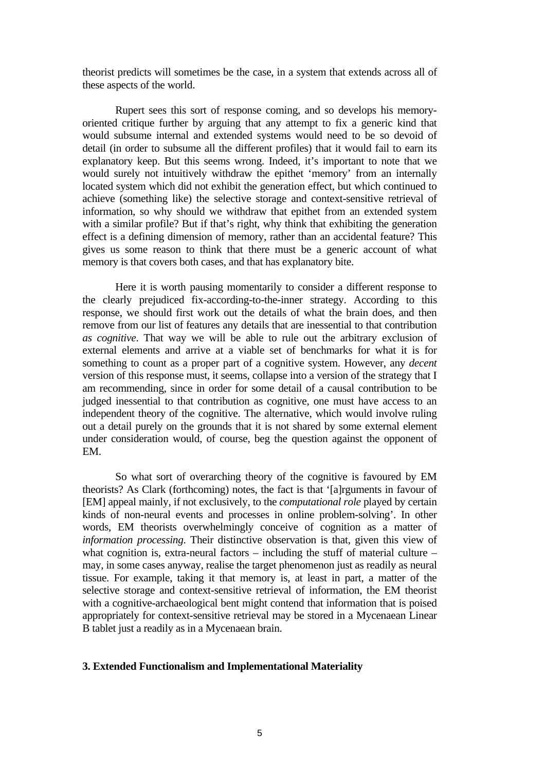theorist predicts will sometimes be the case, in a system that extends across all of these aspects of the world.

Rupert sees this sort of response coming, and so develops his memoryoriented critique further by arguing that any attempt to fix a generic kind that would subsume internal and extended systems would need to be so devoid of detail (in order to subsume all the different profiles) that it would fail to earn its explanatory keep. But this seems wrong. Indeed, it's important to note that we would surely not intuitively withdraw the epithet 'memory' from an internally located system which did not exhibit the generation effect, but which continued to achieve (something like) the selective storage and context-sensitive retrieval of information, so why should we withdraw that epithet from an extended system with a similar profile? But if that's right, why think that exhibiting the generation effect is a defining dimension of memory, rather than an accidental feature? This gives us some reason to think that there must be a generic account of what memory is that covers both cases, and that has explanatory bite.

Here it is worth pausing momentarily to consider a different response to the clearly prejudiced fix-according-to-the-inner strategy. According to this response, we should first work out the details of what the brain does, and then remove from our list of features any details that are inessential to that contribution *as cognitive*. That way we will be able to rule out the arbitrary exclusion of external elements and arrive at a viable set of benchmarks for what it is for something to count as a proper part of a cognitive system. However, any *decent* version of this response must, it seems, collapse into a version of the strategy that I am recommending, since in order for some detail of a causal contribution to be judged inessential to that contribution as cognitive, one must have access to an independent theory of the cognitive. The alternative, which would involve ruling out a detail purely on the grounds that it is not shared by some external element under consideration would, of course, beg the question against the opponent of EM.

So what sort of overarching theory of the cognitive is favoured by EM theorists? As Clark (forthcoming) notes, the fact is that '[a]rguments in favour of [EM] appeal mainly, if not exclusively, to the *computational role* played by certain kinds of non-neural events and processes in online problem-solving'. In other words, EM theorists overwhelmingly conceive of cognition as a matter of *information processing*. Their distinctive observation is that, given this view of what cognition is, extra-neural factors – including the stuff of material culture – may, in some cases anyway, realise the target phenomenon just as readily as neural tissue. For example, taking it that memory is, at least in part, a matter of the selective storage and context-sensitive retrieval of information, the EM theorist with a cognitive-archaeological bent might contend that information that is poised appropriately for context-sensitive retrieval may be stored in a Mycenaean Linear B tablet just a readily as in a Mycenaean brain.

## **3. Extended Functionalism and Implementational Materiality**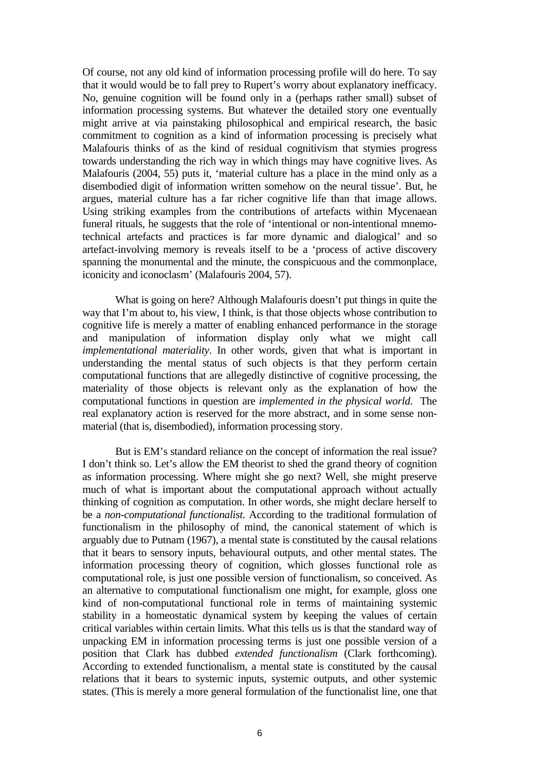Of course, not any old kind of information processing profile will do here. To say that it would would be to fall prey to Rupert's worry about explanatory inefficacy. No, genuine cognition will be found only in a (perhaps rather small) subset of information processing systems. But whatever the detailed story one eventually might arrive at via painstaking philosophical and empirical research, the basic commitment to cognition as a kind of information processing is precisely what Malafouris thinks of as the kind of residual cognitivism that stymies progress towards understanding the rich way in which things may have cognitive lives. As Malafouris (2004, 55) puts it, 'material culture has a place in the mind only as a disembodied digit of information written somehow on the neural tissue'. But, he argues, material culture has a far richer cognitive life than that image allows. Using striking examples from the contributions of artefacts within Mycenaean funeral rituals, he suggests that the role of 'intentional or non-intentional mnemotechnical artefacts and practices is far more dynamic and dialogical' and so artefact-involving memory is reveals itself to be a 'process of active discovery spanning the monumental and the minute, the conspicuous and the commonplace, iconicity and iconoclasm' (Malafouris 2004, 57).

What is going on here? Although Malafouris doesn't put things in quite the way that I'm about to, his view, I think, is that those objects whose contribution to cognitive life is merely a matter of enabling enhanced performance in the storage and manipulation of information display only what we might call *implementational materiality*. In other words, given that what is important in understanding the mental status of such objects is that they perform certain computational functions that are allegedly distinctive of cognitive processing, the materiality of those objects is relevant only as the explanation of how the computational functions in question are *implemented in the physical world*. The real explanatory action is reserved for the more abstract, and in some sense nonmaterial (that is, disembodied), information processing story.

But is EM's standard reliance on the concept of information the real issue? I don't think so. Let's allow the EM theorist to shed the grand theory of cognition as information processing. Where might she go next? Well, she might preserve much of what is important about the computational approach without actually thinking of cognition as computation. In other words, she might declare herself to be a *non-computational functionalist.* According to the traditional formulation of functionalism in the philosophy of mind, the canonical statement of which is arguably due to Putnam (1967), a mental state is constituted by the causal relations that it bears to sensory inputs, behavioural outputs, and other mental states. The information processing theory of cognition, which glosses functional role as computational role, is just one possible version of functionalism, so conceived. As an alternative to computational functionalism one might, for example, gloss one kind of non-computational functional role in terms of maintaining systemic stability in a homeostatic dynamical system by keeping the values of certain critical variables within certain limits. What this tells us is that the standard way of unpacking EM in information processing terms is just one possible version of a position that Clark has dubbed *extended functionalism* (Clark forthcoming). According to extended functionalism, a mental state is constituted by the causal relations that it bears to systemic inputs, systemic outputs, and other systemic states. (This is merely a more general formulation of the functionalist line, one that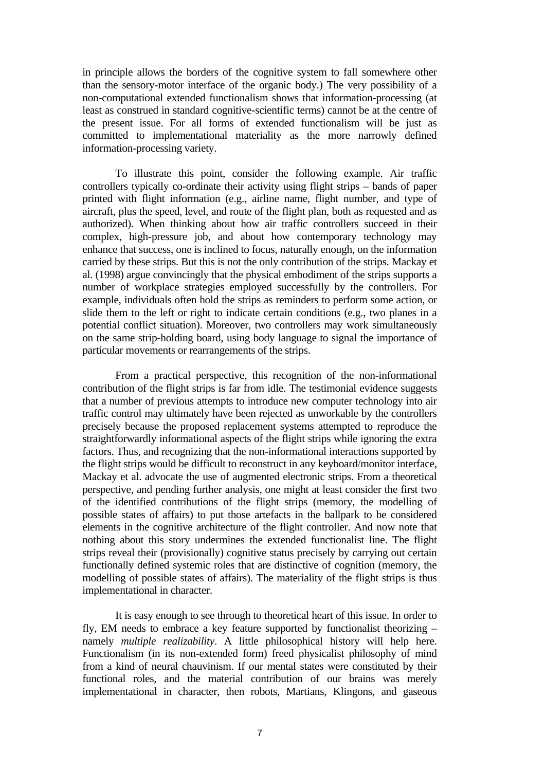in principle allows the borders of the cognitive system to fall somewhere other than the sensory-motor interface of the organic body.) The very possibility of a non-computational extended functionalism shows that information-processing (at least as construed in standard cognitive-scientific terms) cannot be at the centre of the present issue. For all forms of extended functionalism will be just as committed to implementational materiality as the more narrowly defined information-processing variety.

To illustrate this point, consider the following example. Air traffic controllers typically co-ordinate their activity using flight strips – bands of paper printed with flight information (e.g., airline name, flight number, and type of aircraft, plus the speed, level, and route of the flight plan, both as requested and as authorized). When thinking about how air traffic controllers succeed in their complex, high-pressure job, and about how contemporary technology may enhance that success, one is inclined to focus, naturally enough, on the information carried by these strips. But this is not the only contribution of the strips. Mackay et al. (1998) argue convincingly that the physical embodiment of the strips supports a number of workplace strategies employed successfully by the controllers. For example, individuals often hold the strips as reminders to perform some action, or slide them to the left or right to indicate certain conditions (e.g., two planes in a potential conflict situation). Moreover, two controllers may work simultaneously on the same strip-holding board, using body language to signal the importance of particular movements or rearrangements of the strips.

From a practical perspective, this recognition of the non-informational contribution of the flight strips is far from idle. The testimonial evidence suggests that a number of previous attempts to introduce new computer technology into air traffic control may ultimately have been rejected as unworkable by the controllers precisely because the proposed replacement systems attempted to reproduce the straightforwardly informational aspects of the flight strips while ignoring the extra factors. Thus, and recognizing that the non-informational interactions supported by the flight strips would be difficult to reconstruct in any keyboard/monitor interface, Mackay et al. advocate the use of augmented electronic strips. From a theoretical perspective, and pending further analysis, one might at least consider the first two of the identified contributions of the flight strips (memory, the modelling of possible states of affairs) to put those artefacts in the ballpark to be considered elements in the cognitive architecture of the flight controller. And now note that nothing about this story undermines the extended functionalist line. The flight strips reveal their (provisionally) cognitive status precisely by carrying out certain functionally defined systemic roles that are distinctive of cognition (memory, the modelling of possible states of affairs). The materiality of the flight strips is thus implementational in character.

It is easy enough to see through to theoretical heart of this issue. In order to fly, EM needs to embrace a key feature supported by functionalist theorizing – namely *multiple realizability*. A little philosophical history will help here. Functionalism (in its non-extended form) freed physicalist philosophy of mind from a kind of neural chauvinism. If our mental states were constituted by their functional roles, and the material contribution of our brains was merely implementational in character, then robots, Martians, Klingons, and gaseous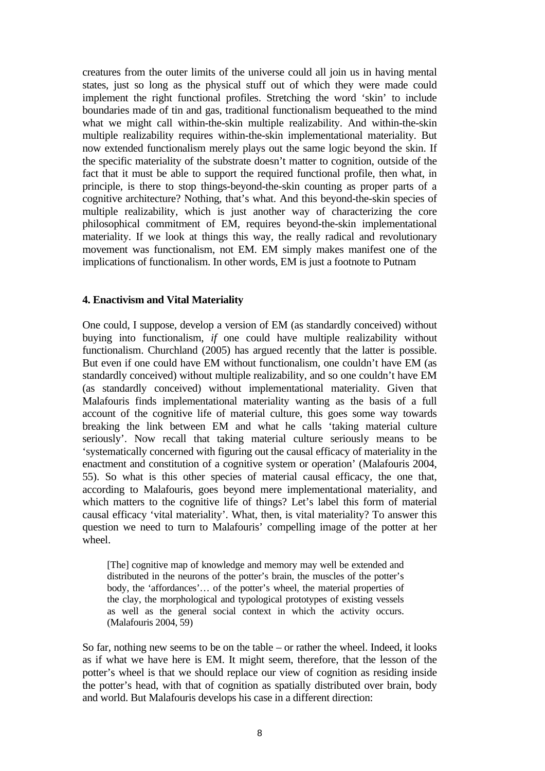creatures from the outer limits of the universe could all join us in having mental states, just so long as the physical stuff out of which they were made could implement the right functional profiles. Stretching the word 'skin' to include boundaries made of tin and gas, traditional functionalism bequeathed to the mind what we might call within-the-skin multiple realizability. And within-the-skin multiple realizability requires within-the-skin implementational materiality. But now extended functionalism merely plays out the same logic beyond the skin. If the specific materiality of the substrate doesn't matter to cognition, outside of the fact that it must be able to support the required functional profile, then what, in principle, is there to stop things-beyond-the-skin counting as proper parts of a cognitive architecture? Nothing, that's what. And this beyond-the-skin species of multiple realizability, which is just another way of characterizing the core philosophical commitment of EM, requires beyond-the-skin implementational materiality. If we look at things this way, the really radical and revolutionary movement was functionalism, not EM. EM simply makes manifest one of the implications of functionalism. In other words, EM is just a footnote to Putnam

### **4. Enactivism and Vital Materiality**

One could, I suppose, develop a version of EM (as standardly conceived) without buying into functionalism, *if* one could have multiple realizability without functionalism. Churchland (2005) has argued recently that the latter is possible. But even if one could have EM without functionalism, one couldn't have EM (as standardly conceived) without multiple realizability, and so one couldn't have EM (as standardly conceived) without implementational materiality. Given that Malafouris finds implementational materiality wanting as the basis of a full account of the cognitive life of material culture, this goes some way towards breaking the link between EM and what he calls 'taking material culture seriously'. Now recall that taking material culture seriously means to be 'systematically concerned with figuring out the causal efficacy of materiality in the enactment and constitution of a cognitive system or operation' (Malafouris 2004, 55). So what is this other species of material causal efficacy, the one that, according to Malafouris, goes beyond mere implementational materiality, and which matters to the cognitive life of things? Let's label this form of material causal efficacy 'vital materiality'. What, then, is vital materiality? To answer this question we need to turn to Malafouris' compelling image of the potter at her wheel.

[The] cognitive map of knowledge and memory may well be extended and distributed in the neurons of the potter's brain, the muscles of the potter's body, the 'affordances'… of the potter's wheel, the material properties of the clay, the morphological and typological prototypes of existing vessels as well as the general social context in which the activity occurs. (Malafouris 2004, 59)

So far, nothing new seems to be on the table – or rather the wheel. Indeed, it looks as if what we have here is EM. It might seem, therefore, that the lesson of the potter's wheel is that we should replace our view of cognition as residing inside the potter's head, with that of cognition as spatially distributed over brain, body and world. But Malafouris develops his case in a different direction: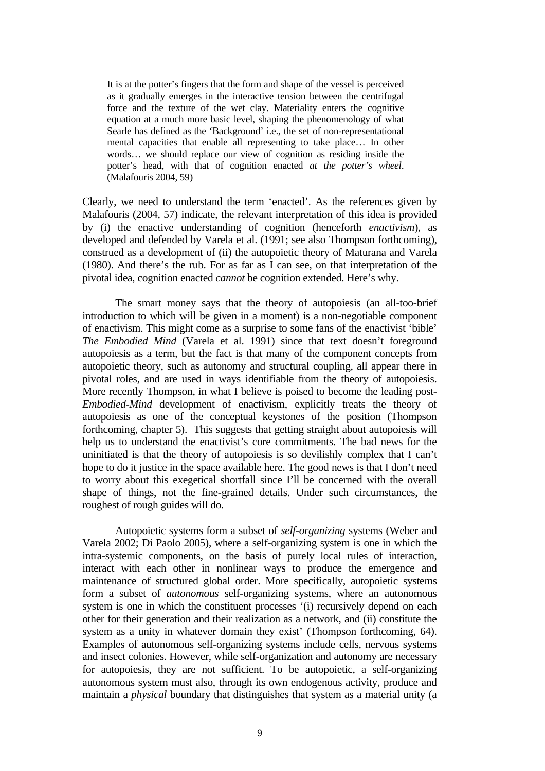It is at the potter's fingers that the form and shape of the vessel is perceived as it gradually emerges in the interactive tension between the centrifugal force and the texture of the wet clay. Materiality enters the cognitive equation at a much more basic level, shaping the phenomenology of what Searle has defined as the 'Background' i.e., the set of non-representational mental capacities that enable all representing to take place… In other words… we should replace our view of cognition as residing inside the potter's head, with that of cognition enacted *at the potter's wheel*. (Malafouris 2004, 59)

Clearly, we need to understand the term 'enacted'. As the references given by Malafouris (2004, 57) indicate, the relevant interpretation of this idea is provided by (i) the enactive understanding of cognition (henceforth *enactivism*), as developed and defended by Varela et al. (1991; see also Thompson forthcoming), construed as a development of (ii) the autopoietic theory of Maturana and Varela (1980). And there's the rub. For as far as I can see, on that interpretation of the pivotal idea, cognition enacted *cannot* be cognition extended. Here's why.

The smart money says that the theory of autopoiesis (an all-too-brief introduction to which will be given in a moment) is a non-negotiable component of enactivism. This might come as a surprise to some fans of the enactivist 'bible' *The Embodied Mind* (Varela et al. 1991) since that text doesn't foreground autopoiesis as a term, but the fact is that many of the component concepts from autopoietic theory, such as autonomy and structural coupling, all appear there in pivotal roles, and are used in ways identifiable from the theory of autopoiesis. More recently Thompson, in what I believe is poised to become the leading post-*Embodied*-*Mind* development of enactivism, explicitly treats the theory of autopoiesis as one of the conceptual keystones of the position (Thompson forthcoming, chapter 5). This suggests that getting straight about autopoiesis will help us to understand the enactivist's core commitments. The bad news for the uninitiated is that the theory of autopoiesis is so devilishly complex that I can't hope to do it justice in the space available here. The good news is that I don't need to worry about this exegetical shortfall since I'll be concerned with the overall shape of things, not the fine-grained details. Under such circumstances, the roughest of rough guides will do.

Autopoietic systems form a subset of *self-organizing* systems (Weber and Varela 2002; Di Paolo 2005), where a self-organizing system is one in which the intra-systemic components, on the basis of purely local rules of interaction, interact with each other in nonlinear ways to produce the emergence and maintenance of structured global order. More specifically, autopoietic systems form a subset of *autonomous* self-organizing systems, where an autonomous system is one in which the constituent processes '(i) recursively depend on each other for their generation and their realization as a network, and (ii) constitute the system as a unity in whatever domain they exist' (Thompson forthcoming, 64). Examples of autonomous self-organizing systems include cells, nervous systems and insect colonies. However, while self-organization and autonomy are necessary for autopoiesis, they are not sufficient. To be autopoietic, a self-organizing autonomous system must also, through its own endogenous activity, produce and maintain a *physical* boundary that distinguishes that system as a material unity (a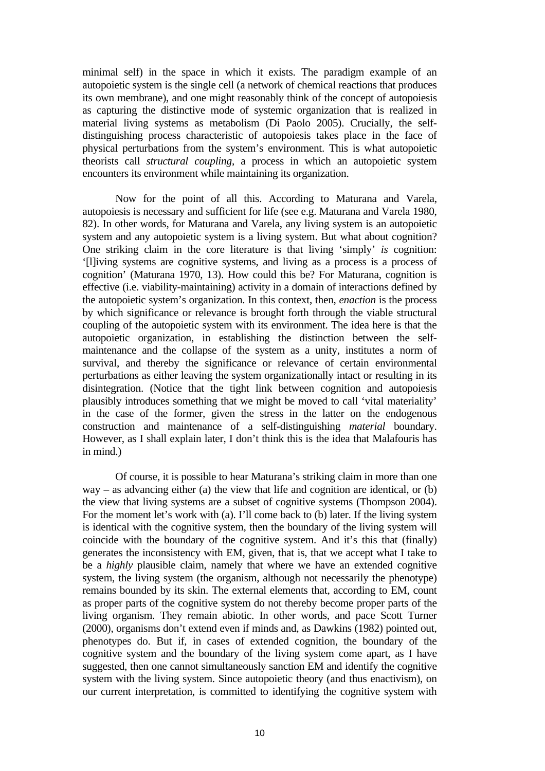minimal self) in the space in which it exists. The paradigm example of an autopoietic system is the single cell (a network of chemical reactions that produces its own membrane), and one might reasonably think of the concept of autopoiesis as capturing the distinctive mode of systemic organization that is realized in material living systems as metabolism (Di Paolo 2005). Crucially, the selfdistinguishing process characteristic of autopoiesis takes place in the face of physical perturbations from the system's environment. This is what autopoietic theorists call *structural coupling*, a process in which an autopoietic system encounters its environment while maintaining its organization.

Now for the point of all this. According to Maturana and Varela, autopoiesis is necessary and sufficient for life (see e.g. Maturana and Varela 1980, 82). In other words, for Maturana and Varela, any living system is an autopoietic system and any autopoietic system is a living system. But what about cognition? One striking claim in the core literature is that living 'simply' *is* cognition: '[l]iving systems are cognitive systems, and living as a process is a process of cognition' (Maturana 1970, 13). How could this be? For Maturana, cognition is effective (i.e. viability-maintaining) activity in a domain of interactions defined by the autopoietic system's organization. In this context, then, *enaction* is the process by which significance or relevance is brought forth through the viable structural coupling of the autopoietic system with its environment. The idea here is that the autopoietic organization, in establishing the distinction between the selfmaintenance and the collapse of the system as a unity, institutes a norm of survival, and thereby the significance or relevance of certain environmental perturbations as either leaving the system organizationally intact or resulting in its disintegration. (Notice that the tight link between cognition and autopoiesis plausibly introduces something that we might be moved to call 'vital materiality' in the case of the former, given the stress in the latter on the endogenous construction and maintenance of a self-distinguishing *material* boundary. However, as I shall explain later, I don't think this is the idea that Malafouris has in mind.)

Of course, it is possible to hear Maturana's striking claim in more than one  $way - as advancing either (a) the view that life and cognition are identical, or (b)$ the view that living systems are a subset of cognitive systems (Thompson 2004). For the moment let's work with (a). I'll come back to (b) later. If the living system is identical with the cognitive system, then the boundary of the living system will coincide with the boundary of the cognitive system. And it's this that (finally) generates the inconsistency with EM, given, that is, that we accept what I take to be a *highly* plausible claim, namely that where we have an extended cognitive system, the living system (the organism, although not necessarily the phenotype) remains bounded by its skin. The external elements that, according to EM, count as proper parts of the cognitive system do not thereby become proper parts of the living organism. They remain abiotic. In other words, and pace Scott Turner (2000), organisms don't extend even if minds and, as Dawkins (1982) pointed out, phenotypes do. But if, in cases of extended cognition, the boundary of the cognitive system and the boundary of the living system come apart, as I have suggested, then one cannot simultaneously sanction EM and identify the cognitive system with the living system. Since autopoietic theory (and thus enactivism), on our current interpretation, is committed to identifying the cognitive system with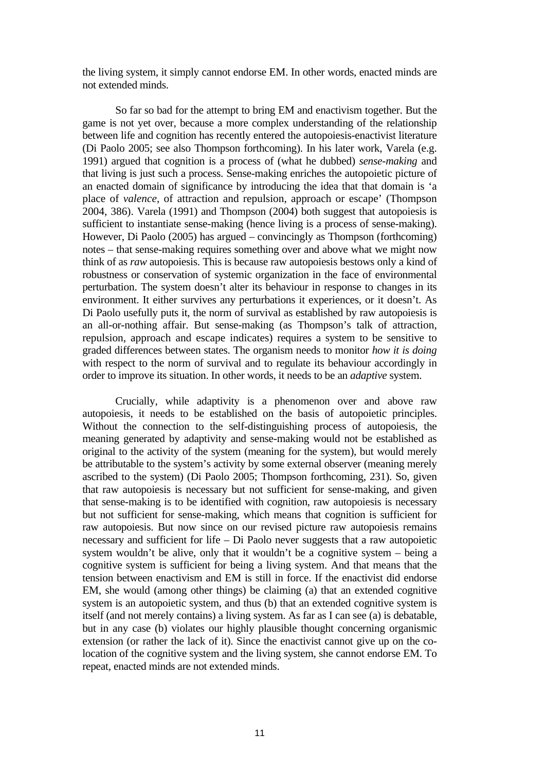the living system, it simply cannot endorse EM. In other words, enacted minds are not extended minds.

So far so bad for the attempt to bring EM and enactivism together. But the game is not yet over, because a more complex understanding of the relationship between life and cognition has recently entered the autopoiesis-enactivist literature (Di Paolo 2005; see also Thompson forthcoming). In his later work, Varela (e.g. 1991) argued that cognition is a process of (what he dubbed) *sense-making* and that living is just such a process. Sense-making enriches the autopoietic picture of an enacted domain of significance by introducing the idea that that domain is 'a place of *valence*, of attraction and repulsion, approach or escape' (Thompson 2004, 386). Varela (1991) and Thompson (2004) both suggest that autopoiesis is sufficient to instantiate sense-making (hence living is a process of sense-making). However, Di Paolo (2005) has argued – convincingly as Thompson (forthcoming) notes – that sense-making requires something over and above what we might now think of as *raw* autopoiesis. This is because raw autopoiesis bestows only a kind of robustness or conservation of systemic organization in the face of environmental perturbation. The system doesn't alter its behaviour in response to changes in its environment. It either survives any perturbations it experiences, or it doesn't. As Di Paolo usefully puts it, the norm of survival as established by raw autopoiesis is an all-or-nothing affair. But sense-making (as Thompson's talk of attraction, repulsion, approach and escape indicates) requires a system to be sensitive to graded differences between states. The organism needs to monitor *how it is doing* with respect to the norm of survival and to regulate its behaviour accordingly in order to improve its situation. In other words, it needs to be an *adaptive* system.

Crucially, while adaptivity is a phenomenon over and above raw autopoiesis, it needs to be established on the basis of autopoietic principles. Without the connection to the self-distinguishing process of autopoiesis, the meaning generated by adaptivity and sense-making would not be established as original to the activity of the system (meaning for the system), but would merely be attributable to the system's activity by some external observer (meaning merely ascribed to the system) (Di Paolo 2005; Thompson forthcoming, 231). So, given that raw autopoiesis is necessary but not sufficient for sense-making, and given that sense-making is to be identified with cognition, raw autopoiesis is necessary but not sufficient for sense-making, which means that cognition is sufficient for raw autopoiesis. But now since on our revised picture raw autopoiesis remains necessary and sufficient for life – Di Paolo never suggests that a raw autopoietic system wouldn't be alive, only that it wouldn't be a cognitive system – being a cognitive system is sufficient for being a living system. And that means that the tension between enactivism and EM is still in force. If the enactivist did endorse EM, she would (among other things) be claiming (a) that an extended cognitive system is an autopoietic system, and thus (b) that an extended cognitive system is itself (and not merely contains) a living system. As far as I can see (a) is debatable, but in any case (b) violates our highly plausible thought concerning organismic extension (or rather the lack of it). Since the enactivist cannot give up on the colocation of the cognitive system and the living system, she cannot endorse EM. To repeat, enacted minds are not extended minds.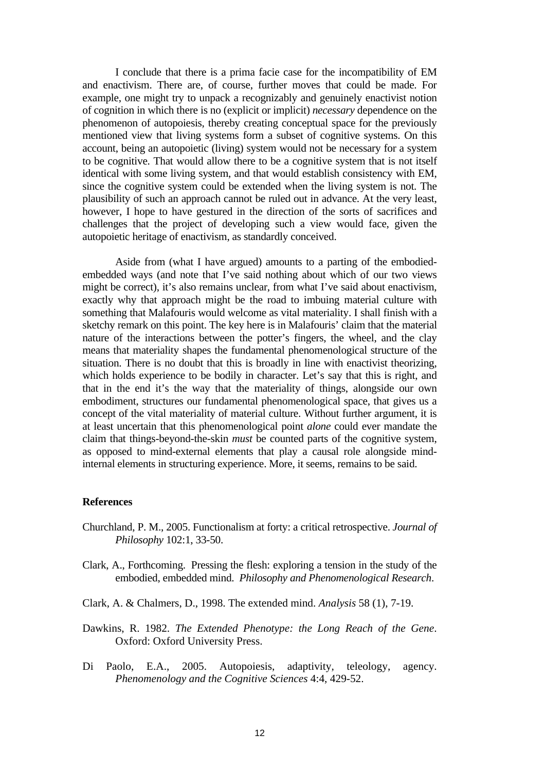I conclude that there is a prima facie case for the incompatibility of EM and enactivism. There are, of course, further moves that could be made. For example, one might try to unpack a recognizably and genuinely enactivist notion of cognition in which there is no (explicit or implicit) *necessary* dependence on the phenomenon of autopoiesis, thereby creating conceptual space for the previously mentioned view that living systems form a subset of cognitive systems. On this account, being an autopoietic (living) system would not be necessary for a system to be cognitive. That would allow there to be a cognitive system that is not itself identical with some living system, and that would establish consistency with EM, since the cognitive system could be extended when the living system is not. The plausibility of such an approach cannot be ruled out in advance. At the very least, however, I hope to have gestured in the direction of the sorts of sacrifices and challenges that the project of developing such a view would face, given the autopoietic heritage of enactivism, as standardly conceived.

Aside from (what I have argued) amounts to a parting of the embodiedembedded ways (and note that I've said nothing about which of our two views might be correct), it's also remains unclear, from what I've said about enactivism, exactly why that approach might be the road to imbuing material culture with something that Malafouris would welcome as vital materiality. I shall finish with a sketchy remark on this point. The key here is in Malafouris' claim that the material nature of the interactions between the potter's fingers, the wheel, and the clay means that materiality shapes the fundamental phenomenological structure of the situation. There is no doubt that this is broadly in line with enactivist theorizing, which holds experience to be bodily in character. Let's say that this is right, and that in the end it's the way that the materiality of things, alongside our own embodiment, structures our fundamental phenomenological space, that gives us a concept of the vital materiality of material culture. Without further argument, it is at least uncertain that this phenomenological point *alone* could ever mandate the claim that things-beyond-the-skin *must* be counted parts of the cognitive system, as opposed to mind-external elements that play a causal role alongside mindinternal elements in structuring experience. More, it seems, remains to be said.

#### **References**

- Churchland, P. M., 2005. Functionalism at forty: a critical retrospective. *Journal of Philosophy* 102:1, 33-50.
- Clark, A., Forthcoming. Pressing the flesh: exploring a tension in the study of the embodied, embedded mind. *Philosophy and Phenomenological Research*.
- Clark, A. & Chalmers, D., 1998. The extended mind. *Analysis* 58 (1), 7-19.
- Dawkins, R. 1982. *The Extended Phenotype: the Long Reach of the Gene*. Oxford: Oxford University Press.
- Di Paolo, E.A., 2005. Autopoiesis, adaptivity, teleology, agency. *Phenomenology and the Cognitive Sciences* 4:4, 429-52.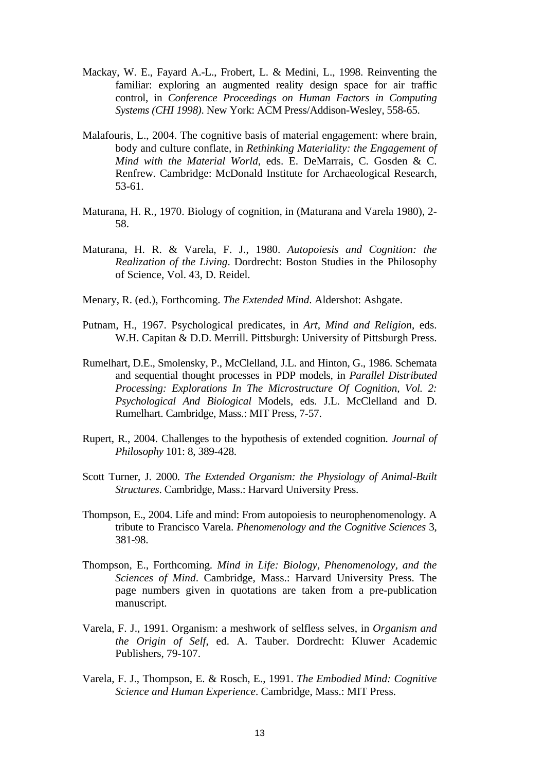- Mackay, W. E., Fayard A.-L., Frobert, L. & Medini, L., 1998. Reinventing the familiar: exploring an augmented reality design space for air traffic control, in *Conference Proceedings on Human Factors in Computing Systems (CHI 1998)*. New York: ACM Press/Addison-Wesley, 558-65.
- Malafouris, L., 2004. The cognitive basis of material engagement: where brain, body and culture conflate, in *Rethinking Materiality: the Engagement of Mind with the Material World*, eds. E. DeMarrais, C. Gosden & C. Renfrew*.* Cambridge: McDonald Institute for Archaeological Research, 53-61.
- Maturana, H. R., 1970. Biology of cognition, in (Maturana and Varela 1980), 2- 58.
- Maturana, H. R. & Varela, F. J., 1980. *Autopoiesis and Cognition: the Realization of the Living*. Dordrecht: Boston Studies in the Philosophy of Science, Vol. 43, D. Reidel.
- Menary, R. (ed.), Forthcoming. *The Extended Mind*. Aldershot: Ashgate.
- Putnam, H., 1967. Psychological predicates, in *Art, Mind and Religion*, eds. W.H. Capitan & D.D. Merrill. Pittsburgh: University of Pittsburgh Press.
- Rumelhart, D.E., Smolensky, P., McClelland, J.L. and Hinton, G., 1986. Schemata and sequential thought processes in PDP models, in *Parallel Distributed Processing: Explorations In The Microstructure Of Cognition, Vol. 2: Psychological And Biological* Models, eds. J.L. McClelland and D. Rumelhart. Cambridge, Mass.: MIT Press, 7-57.
- Rupert, R., 2004. Challenges to the hypothesis of extended cognition. *Journal of Philosophy* 101: 8, 389-428.
- Scott Turner, J. 2000. *The Extended Organism: the Physiology of Animal-Built Structures*. Cambridge, Mass.: Harvard University Press.
- Thompson, E., 2004. Life and mind: From autopoiesis to neurophenomenology. A tribute to Francisco Varela. *Phenomenology and the Cognitive Sciences* 3, 381-98.
- Thompson, E., Forthcoming*. Mind in Life: Biology, Phenomenology, and the Sciences of Mind*. Cambridge, Mass.: Harvard University Press. The page numbers given in quotations are taken from a pre-publication manuscript.
- Varela, F. J., 1991. Organism: a meshwork of selfless selves, in *Organism and the Origin of Self*, ed. A. Tauber. Dordrecht: Kluwer Academic Publishers, 79-107.
- Varela, F. J., Thompson, E. & Rosch, E., 1991. *The Embodied Mind: Cognitive Science and Human Experience*. Cambridge, Mass.: MIT Press.